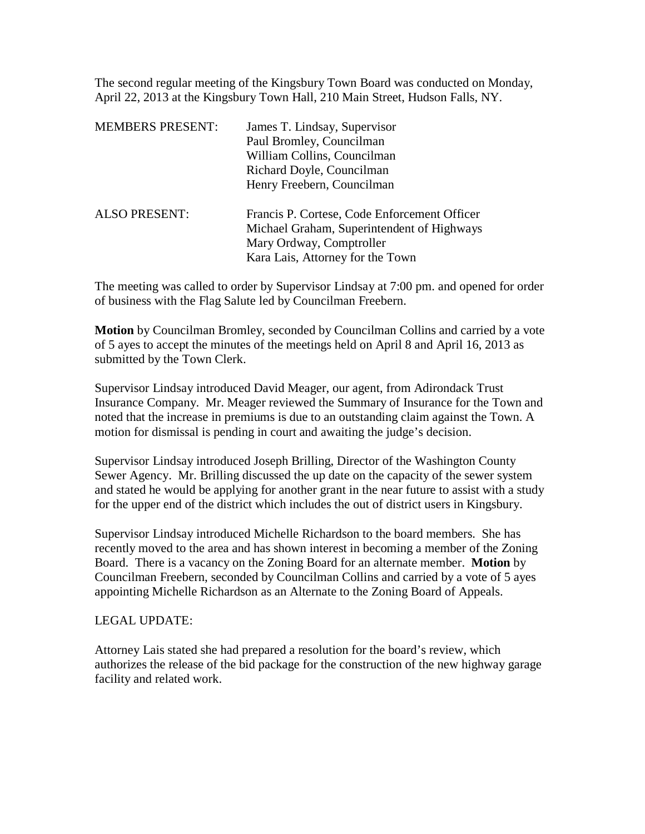The second regular meeting of the Kingsbury Town Board was conducted on Monday, April 22, 2013 at the Kingsbury Town Hall, 210 Main Street, Hudson Falls, NY.

| <b>MEMBERS PRESENT:</b> | James T. Lindsay, Supervisor<br>Paul Bromley, Councilman<br>William Collins, Councilman<br>Richard Doyle, Councilman<br>Henry Freebern, Councilman         |
|-------------------------|------------------------------------------------------------------------------------------------------------------------------------------------------------|
| <b>ALSO PRESENT:</b>    | Francis P. Cortese, Code Enforcement Officer<br>Michael Graham, Superintendent of Highways<br>Mary Ordway, Comptroller<br>Kara Lais, Attorney for the Town |

The meeting was called to order by Supervisor Lindsay at 7:00 pm. and opened for order of business with the Flag Salute led by Councilman Freebern.

**Motion** by Councilman Bromley, seconded by Councilman Collins and carried by a vote of 5 ayes to accept the minutes of the meetings held on April 8 and April 16, 2013 as submitted by the Town Clerk.

Supervisor Lindsay introduced David Meager, our agent, from Adirondack Trust Insurance Company. Mr. Meager reviewed the Summary of Insurance for the Town and noted that the increase in premiums is due to an outstanding claim against the Town. A motion for dismissal is pending in court and awaiting the judge's decision.

Supervisor Lindsay introduced Joseph Brilling, Director of the Washington County Sewer Agency. Mr. Brilling discussed the up date on the capacity of the sewer system and stated he would be applying for another grant in the near future to assist with a study for the upper end of the district which includes the out of district users in Kingsbury.

Supervisor Lindsay introduced Michelle Richardson to the board members. She has recently moved to the area and has shown interest in becoming a member of the Zoning Board. There is a vacancy on the Zoning Board for an alternate member. **Motion** by Councilman Freebern, seconded by Councilman Collins and carried by a vote of 5 ayes appointing Michelle Richardson as an Alternate to the Zoning Board of Appeals.

## LEGAL UPDATE:

Attorney Lais stated she had prepared a resolution for the board's review, which authorizes the release of the bid package for the construction of the new highway garage facility and related work.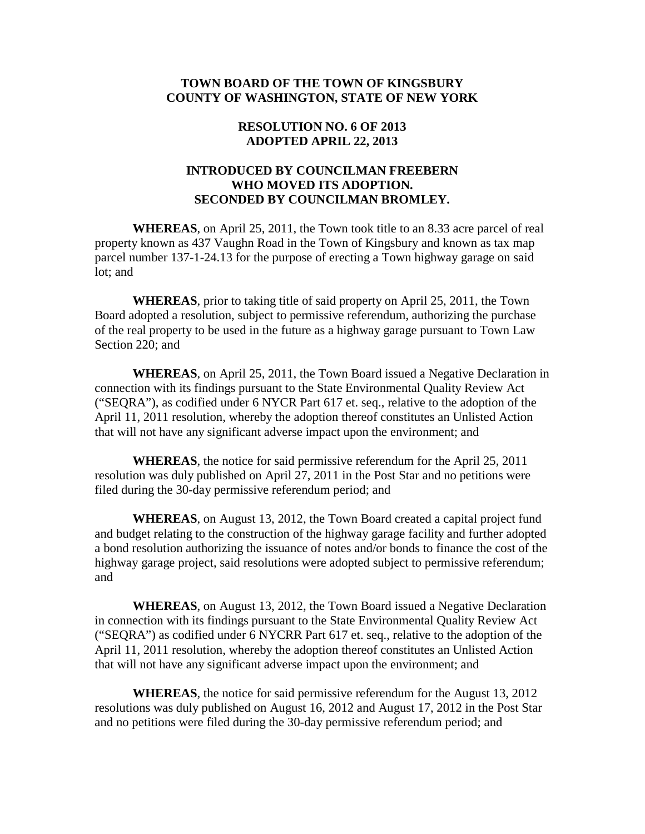# **TOWN BOARD OF THE TOWN OF KINGSBURY COUNTY OF WASHINGTON, STATE OF NEW YORK**

### **RESOLUTION NO. 6 OF 2013 ADOPTED APRIL 22, 2013**

# **INTRODUCED BY COUNCILMAN FREEBERN WHO MOVED ITS ADOPTION. SECONDED BY COUNCILMAN BROMLEY.**

**WHEREAS**, on April 25, 2011, the Town took title to an 8.33 acre parcel of real property known as 437 Vaughn Road in the Town of Kingsbury and known as tax map parcel number 137-1-24.13 for the purpose of erecting a Town highway garage on said lot; and

**WHEREAS**, prior to taking title of said property on April 25, 2011, the Town Board adopted a resolution, subject to permissive referendum, authorizing the purchase of the real property to be used in the future as a highway garage pursuant to Town Law Section 220; and

**WHEREAS**, on April 25, 2011, the Town Board issued a Negative Declaration in connection with its findings pursuant to the State Environmental Quality Review Act ("SEQRA"), as codified under 6 NYCR Part 617 et. seq., relative to the adoption of the April 11, 2011 resolution, whereby the adoption thereof constitutes an Unlisted Action that will not have any significant adverse impact upon the environment; and

**WHEREAS**, the notice for said permissive referendum for the April 25, 2011 resolution was duly published on April 27, 2011 in the Post Star and no petitions were filed during the 30-day permissive referendum period; and

**WHEREAS**, on August 13, 2012, the Town Board created a capital project fund and budget relating to the construction of the highway garage facility and further adopted a bond resolution authorizing the issuance of notes and/or bonds to finance the cost of the highway garage project, said resolutions were adopted subject to permissive referendum; and

**WHEREAS**, on August 13, 2012, the Town Board issued a Negative Declaration in connection with its findings pursuant to the State Environmental Quality Review Act ("SEQRA") as codified under 6 NYCRR Part 617 et. seq., relative to the adoption of the April 11, 2011 resolution, whereby the adoption thereof constitutes an Unlisted Action that will not have any significant adverse impact upon the environment; and

**WHEREAS**, the notice for said permissive referendum for the August 13, 2012 resolutions was duly published on August 16, 2012 and August 17, 2012 in the Post Star and no petitions were filed during the 30-day permissive referendum period; and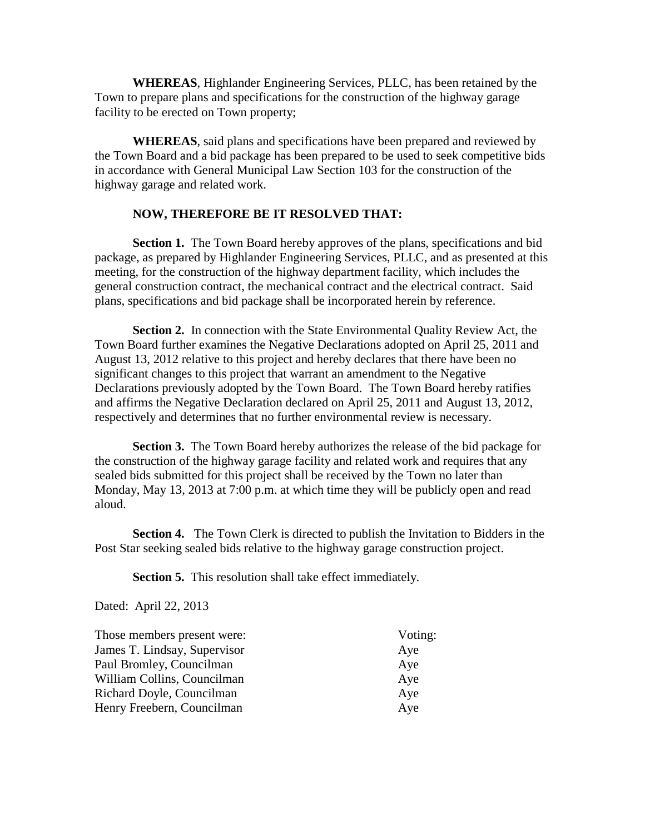**WHEREAS**, Highlander Engineering Services, PLLC, has been retained by the Town to prepare plans and specifications for the construction of the highway garage facility to be erected on Town property;

**WHEREAS**, said plans and specifications have been prepared and reviewed by the Town Board and a bid package has been prepared to be used to seek competitive bids in accordance with General Municipal Law Section 103 for the construction of the highway garage and related work.

#### **NOW, THEREFORE BE IT RESOLVED THAT:**

**Section 1.** The Town Board hereby approves of the plans, specifications and bid package, as prepared by Highlander Engineering Services, PLLC, and as presented at this meeting, for the construction of the highway department facility, which includes the general construction contract, the mechanical contract and the electrical contract. Said plans, specifications and bid package shall be incorporated herein by reference.

**Section 2.** In connection with the State Environmental Quality Review Act, the Town Board further examines the Negative Declarations adopted on April 25, 2011 and August 13, 2012 relative to this project and hereby declares that there have been no significant changes to this project that warrant an amendment to the Negative Declarations previously adopted by the Town Board. The Town Board hereby ratifies and affirms the Negative Declaration declared on April 25, 2011 and August 13, 2012, respectively and determines that no further environmental review is necessary.

**Section 3.** The Town Board hereby authorizes the release of the bid package for the construction of the highway garage facility and related work and requires that any sealed bids submitted for this project shall be received by the Town no later than Monday, May 13, 2013 at 7:00 p.m. at which time they will be publicly open and read aloud.

**Section 4.** The Town Clerk is directed to publish the Invitation to Bidders in the Post Star seeking sealed bids relative to the highway garage construction project.

**Section 5.** This resolution shall take effect immediately.

Dated: April 22, 2013

| Voting: |  |
|---------|--|
| Aye     |  |
| Aye     |  |
| Aye     |  |
| Aye     |  |
| Aye     |  |
|         |  |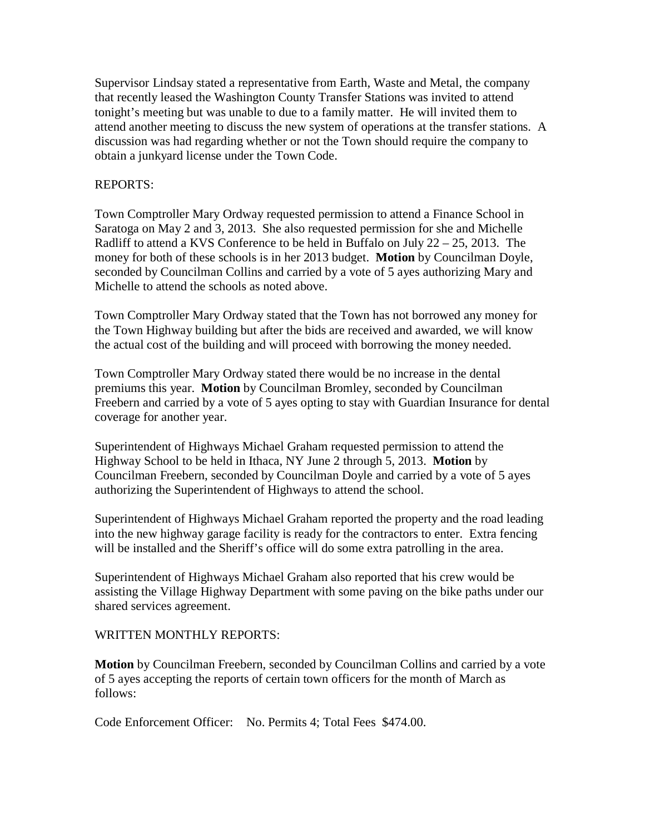Supervisor Lindsay stated a representative from Earth, Waste and Metal, the company that recently leased the Washington County Transfer Stations was invited to attend tonight's meeting but was unable to due to a family matter. He will invited them to attend another meeting to discuss the new system of operations at the transfer stations. A discussion was had regarding whether or not the Town should require the company to obtain a junkyard license under the Town Code.

## REPORTS:

Town Comptroller Mary Ordway requested permission to attend a Finance School in Saratoga on May 2 and 3, 2013. She also requested permission for she and Michelle Radliff to attend a KVS Conference to be held in Buffalo on July  $22 - 25$ , 2013. The money for both of these schools is in her 2013 budget. **Motion** by Councilman Doyle, seconded by Councilman Collins and carried by a vote of 5 ayes authorizing Mary and Michelle to attend the schools as noted above.

Town Comptroller Mary Ordway stated that the Town has not borrowed any money for the Town Highway building but after the bids are received and awarded, we will know the actual cost of the building and will proceed with borrowing the money needed.

Town Comptroller Mary Ordway stated there would be no increase in the dental premiums this year. **Motion** by Councilman Bromley, seconded by Councilman Freebern and carried by a vote of 5 ayes opting to stay with Guardian Insurance for dental coverage for another year.

Superintendent of Highways Michael Graham requested permission to attend the Highway School to be held in Ithaca, NY June 2 through 5, 2013. **Motion** by Councilman Freebern, seconded by Councilman Doyle and carried by a vote of 5 ayes authorizing the Superintendent of Highways to attend the school.

Superintendent of Highways Michael Graham reported the property and the road leading into the new highway garage facility is ready for the contractors to enter. Extra fencing will be installed and the Sheriff's office will do some extra patrolling in the area.

Superintendent of Highways Michael Graham also reported that his crew would be assisting the Village Highway Department with some paving on the bike paths under our shared services agreement.

# WRITTEN MONTHLY REPORTS:

**Motion** by Councilman Freebern, seconded by Councilman Collins and carried by a vote of 5 ayes accepting the reports of certain town officers for the month of March as follows:

Code Enforcement Officer: No. Permits 4; Total Fees \$474.00.